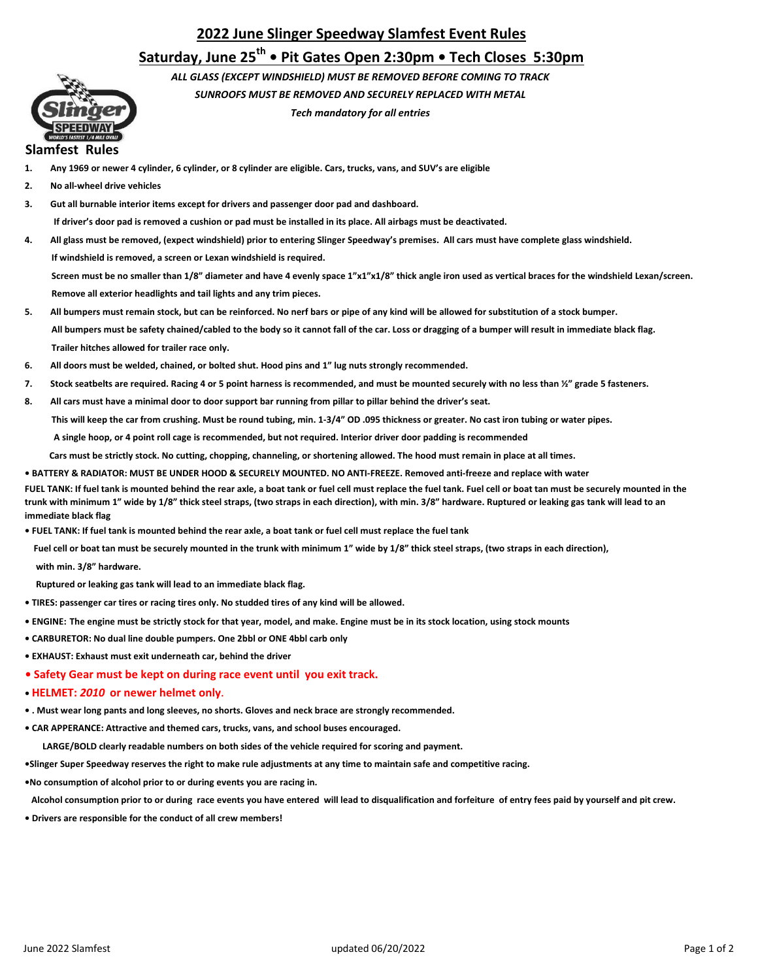## **2022 June Slinger Speedway Slamfest Event Rules**

# **Saturday, June 25th • Pit Gates Open 2:30pm • Tech Closes 5:30pm**



*ALL GLASS (EXCEPT WINDSHIELD) MUST BE REMOVED BEFORE COMING TO TRACK*

## *SUNROOFS MUST BE REMOVED AND SECURELY REPLACED WITH METAL*

*Tech mandatory for all entries*

### **Slamfest Rules**

- **1. Any 1969 or newer 4 cylinder, 6 cylinder, or 8 cylinder are eligible. Cars, trucks, vans, and SUV's are eligible**
- **2. No all-wheel drive vehicles**
- **3. Gut all burnable interior items except for drivers and passenger door pad and dashboard.**
- **If driver's door pad is removed a cushion or pad must be installed in its place. All airbags must be deactivated.**
- **4. All glass must be removed, (expect windshield) prior to entering Slinger Speedway's premises. All cars must have complete glass windshield. If windshield is removed, a screen or Lexan windshield is required. Screen must be no smaller than 1/8" diameter and have 4 evenly space 1"x1"x1/8" thick angle iron used as vertical braces for the windshield Lexan/screen. Remove all exterior headlights and tail lights and any trim pieces.**
- **5. All bumpers must remain stock, but can be reinforced. No nerf bars or pipe of any kind will be allowed for substitution of a stock bumper. All bumpers must be safety chained/cabled to the body so it cannot fall of the car. Loss or dragging of a bumper will result in immediate black flag. Trailer hitches allowed for trailer race only.**
- **6. All doors must be welded, chained, or bolted shut. Hood pins and 1" lug nuts strongly recommended.**
- **7. Stock seatbelts are required. Racing 4 or 5 point harness is recommended, and must be mounted securely with no less than ½" grade 5 fasteners.**
- **8. All cars must have a minimal door to door support bar running from pillar to pillar behind the driver's seat.**

 **This will keep the car from crushing. Must be round tubing, min. 1-3/4" OD .095 thickness or greater. No cast iron tubing or water pipes.** 

 **A single hoop, or 4 point roll cage is recommended, but not required. Interior driver door padding is recommended**

 **Cars must be strictly stock. No cutting, chopping, channeling, or shortening allowed. The hood must remain in place at all times.** 

**• BATTERY & RADIATOR: MUST BE UNDER HOOD & SECURELY MOUNTED. NO ANTI-FREEZE. Removed anti-freeze and replace with water**

FUEL TANK: If fuel tank is mounted behind the rear axle, a boat tank or fuel cell must replace the fuel tank. Fuel cell or boat tan must be securely mounted in the **trunk with minimum 1" wide by 1/8" thick steel straps, (two straps in each direction), with min. 3/8" hardware. Ruptured or leaking gas tank will lead to an immediate black flag**

**• FUEL TANK: If fuel tank is mounted behind the rear axle, a boat tank or fuel cell must replace the fuel tank**

 **Fuel cell or boat tan must be securely mounted in the trunk with minimum 1" wide by 1/8" thick steel straps, (two straps in each direction),**

 **with min. 3/8" hardware.**

 **Ruptured or leaking gas tank will lead to an immediate black flag.**

- **TIRES: passenger car tires or racing tires only. No studded tires of any kind will be allowed.**
- **ENGINE: The engine must be strictly stock for that year, model, and make. Engine must be in its stock location, using stock mounts**
- **CARBURETOR: No dual line double pumpers. One 2bbl or ONE 4bbl carb only**
- **EXHAUST: Exhaust must exit underneath car, behind the driver**

#### **• Safety Gear must be kept on during race event until you exit track.**

#### **• HELMET:** *2010* **or newer helmet only.**

**• . Must wear long pants and long sleeves, no shorts. Gloves and neck brace are strongly recommended.**

**• CAR APPERANCE: Attractive and themed cars, trucks, vans, and school buses encouraged.** 

 **LARGE/BOLD clearly readable numbers on both sides of the vehicle required for scoring and payment.** 

**•Slinger Super Speedway reserves the right to make rule adjustments at any time to maintain safe and competitive racing.** 

**•No consumption of alcohol prior to or during events you are racing in.**

 **Alcohol consumption prior to or during race events you have entered will lead to disqualification and forfeiture of entry fees paid by yourself and pit crew.**

**• Drivers are responsible for the conduct of all crew members!**